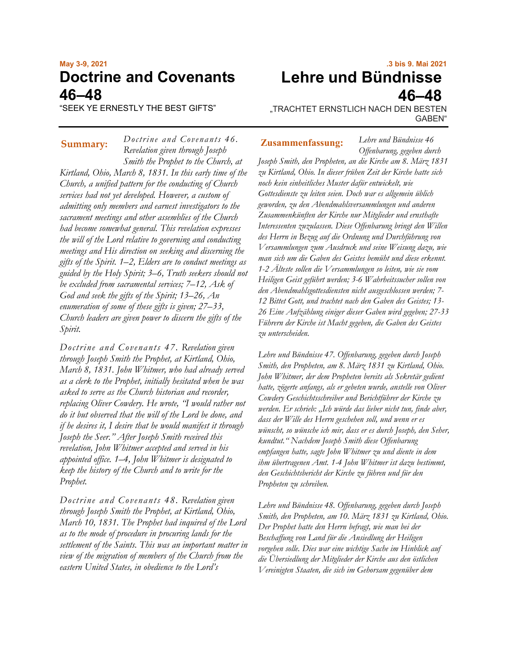# **May 3-9, 2021 Doctrine and Covenants 46–48**

*Doctrine and Covenants 46.*

"SEEK YE ERNESTLY THE BEST GIFTS"

*Revelation given through Joseph Smith the Prophet to the Church, at Kirtland, Ohio, March 8, 1831. In this early time of the Church, a unified pattern for the conducting of Church services had not yet developed. However, a custom of admitting only members and earnest investigators to the sacrament meetings and other assemblies of the Church had become somewhat general. This revelation expresses the will of the Lord relative to governing and conducting meetings and His direction on seeking and discerning the gifts of the Spirit. 1–2, Elders are to conduct meetings as guided by the Holy Spirit; 3–6, Truth seekers should not be excluded from sacramental services; 7–12, Ask of God and seek the gifts of the Spirit; 13–26, An enumeration of some of these gifts is given; 27–33, Church leaders are given power to discern the gifts of the Spirit.*

*Doctrine and Covenants 47. Revelation given through Joseph Smith the Prophet, at Kirtland, Ohio, March 8, 1831. John Whitmer, who had already served as a clerk to the Prophet, initially hesitated when he was asked to serve as the Church historian and recorder, replacing Oliver Cowdery. He wrote, "I would rather not do it but observed that the will of the Lord be done, and if he desires it, I desire that he would manifest it through Joseph the Seer." After Joseph Smith received this revelation, John Whitmer accepted and served in his appointed office. 1–4, John Whitmer is designated to keep the history of the Church and to write for the Prophet.*

*Doctrine and Covenants 48. Revelation given through Joseph Smith the Prophet, at Kirtland, Ohio, March 10, 1831. The Prophet had inquired of the Lord as to the mode of procedure in procuring lands for the settlement of the Saints. This was an important matter in view of the migration of members of the Church from the eastern United States, in obedience to the Lord's* 

# **.3 bis 9. Mai 2021 Lehre und Bündnisse 46–48**

"TRACHTET ERNSTLICH NACH DEN BESTEN GABEN"

*Lehre und Bündnisse 46*

#### **Summary: Zusammenfassung:**

*Offenbarung, gegeben durch Joseph Smith, den Propheten, an die Kirche am 8. März 1831 zu Kirtland, Ohio. In dieser frühen Zeit der Kirche hatte sich noch kein einheitliches Muster dafür entwickelt, wie Gottesdienste zu leiten seien. Doch war es allgemein üblich geworden, zu den Abendmahlsversammlungen und anderen Zusammenkünften der Kirche nur Mitglieder und ernsthafte Interessenten zuzulassen. Diese Offenbarung bringt den Willen des Herrn in Bezug auf die Ordnung und Durchführung von Versammlungen zum Ausdruck und seine Weisung dazu, wie man sich um die Gaben des Geistes bemüht und diese erkennt. 1-2 Älteste sollen die Versammlungen so leiten, wie sie vom Heiligen Geist geführt werden; 3-6 Wahrheitssucher sollen von den Abendmahlsgottesdiensten nicht ausgeschlossen werden; 7- 12 Bittet Gott, und trachtet nach den Gaben des Geistes; 13- 26 Eine Aufzählung einiger dieser Gaben wird gegeben; 27-33 Führern der Kirche ist Macht gegeben, die Gaben des Geistes zu unterscheiden.*

*Lehre und Bündnisse 47. Offenbarung, gegeben durch Joseph Smith, den Propheten, am 8. März 1831 zu Kirtland, Ohio. John Whitmer, der dem Propheten bereits als Sekretär gedient hatte, zögerte anfangs, als er gebeten wurde, anstelle von Oliver Cowdery Geschichtsschreiber und Berichtführer der Kirche zu werden. Er schrieb: "Ich würde das lieber nicht tun, finde aber, dass der Wille des Herrn geschehen soll, und wenn er es wünscht, so wünsche ich mir, dass er es durch Joseph, den Seher, kundtut." Nachdem Joseph Smith diese Offenbarung empfangen hatte, sagte John Whitmer zu und diente in dem ihm übertragenen Amt. 1-4 John Whitmer ist dazu bestimmt, den Geschichtsbericht der Kirche zu führen und für den Propheten zu schreiben.*

*Lehre und Bündnisse 48. Offenbarung, gegeben durch Joseph Smith, den Propheten, am 10. März 1831 zu Kirtland, Ohio. Der Prophet hatte den Herrn befragt, wie man bei der Beschaffung von Land für die Ansiedlung der Heiligen vorgehen solle. Dies war eine wichtige Sache im Hinblick auf die Übersiedlung der Mitglieder der Kirche aus den östlichen Vereinigten Staaten, die sich im Gehorsam gegenüber dem*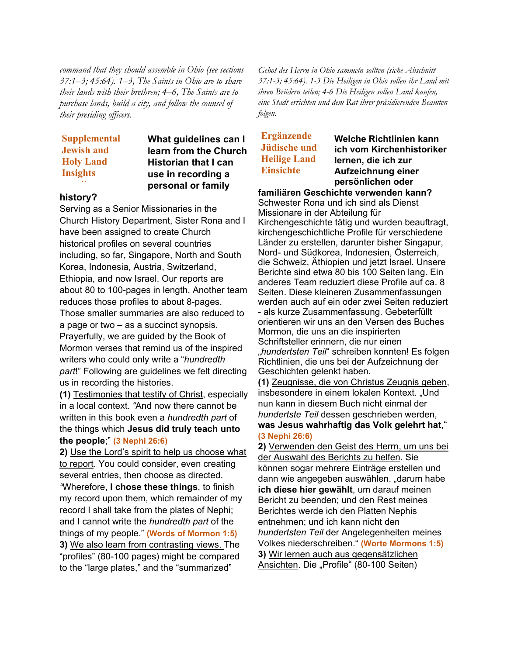*command that they should assemble in Ohio (see sections 37:1–3; 45:64). 1–3, The Saints in Ohio are to share their lands with their brethren; 4–6, The Saints are to purchase lands, build a city, and follow the counsel of their presiding officers.*

## **Supplemental Supplemental Jewish and Jewish and Holy Land Holy Land Insights Insights**

## **What guidelines can I learn from the Church Historian that I can use in recording a personal or family**

#### **history?**

Serving as a Senior Missionaries in the Church History Department, Sister Rona and I have been assigned to create Church historical profiles on several countries including, so far, Singapore, North and South Korea, Indonesia, Austria, Switzerland, Ethiopia, and now Israel. Our reports are about 80 to 100-pages in length. Another team reduces those profiles to about 8-pages. Those smaller summaries are also reduced to a page or two – as a succinct synopsis. Prayerfully, we are guided by the Book of Mormon verses that remind us of the inspired writers who could only write a "*hundredth part*!" Following are guidelines we felt directing us in recording the histories.

**(1)** Testimonies that testify of Christ, especially in a local context. *"*And now there cannot be written in this book even a *hundredth part* of the things which **Jesus did truly teach unto the people**;" **(3 [Nephi](https://www.lds.org/scriptures/bofm/3-ne/26.6?lang=eng#5) 26:6)**

**2)** Use the Lord's spirit to help us choose what to report. You could consider, even creating several entries, then choose as directed. *"*Wherefore, **I chose these things**, to finish my record upon them, which remainder of my record I shall take from the plates of Nephi; and I cannot write the *hundredth part* of the things of my people." **(Words of [Mormon](https://www.lds.org/scriptures/bofm/w-of-m/1.5?lang=eng#4) 1:5) 3)** We also learn from contrasting views. The "profiles" (80-100 pages) might be compared to the "large plates," and the "summarized"

*Gebot des Herrn in Ohio sammeln sollten (siehe Abschnitt 37:1-3; 45:64). 1-3 Die Heiligen in Ohio sollen ihr Land mit ihren Brüdern teilen; 4-6 Die Heiligen sollen Land kaufen, eine Stadt errichten und dem Rat ihrer präsidierenden Beamten folgen.*

# **Ergänzende Jüdische und Heilige Land Einsichte**

**Welche Richtlinien kann ich vom Kirchenhistoriker lernen, die ich zur Aufzeichnung einer persönlichen oder** 

**familiären Geschichte verwenden kann?** Schwester Rona und ich sind als Dienst Missionare in der Abteilung für Kirchengeschichte tätig und wurden beauftragt, kirchengeschichtliche Profile für verschiedene Länder zu erstellen, darunter bisher Singapur, Nord- und Südkorea, Indonesien, Österreich, die Schweiz, Äthiopien und jetzt Israel. Unsere Berichte sind etwa 80 bis 100 Seiten lang. Ein anderes Team reduziert diese Profile auf ca. 8 Seiten. Diese kleineren Zusammenfassungen werden auch auf ein oder zwei Seiten reduziert - als kurze Zusammenfassung. Gebeterfüllt orientieren wir uns an den Versen des Buches Mormon, die uns an die inspirierten Schriftsteller erinnern, die nur einen "*hundertsten Teil*" schreiben konnten! Es folgen Richtlinien, die uns bei der Aufzeichnung der Geschichten gelenkt haben.

**(1)** Zeugnisse, die von Christus Zeugnis geben, insbesondere in einem lokalen Kontext. "Und nun kann in diesem Buch nicht einmal der *hundertste Teil* dessen geschrieben werden, **was Jesus wahrhaftig das Volk gelehrt hat**," **(3 Nephi 26:6)**

**2)** Verwenden den Geist des Herrn, um uns bei der Auswahl des Berichts zu helfen. Sie können sogar mehrere Einträge erstellen und dann wie angegeben auswählen. "darum habe **ich diese hier gewählt**, um darauf meinen Bericht zu beenden; und den Rest meines Berichtes werde ich den Platten Nephis entnehmen; und ich kann nicht den *hundertsten Teil* der Angelegenheiten meines Volkes niederschreiben." **(Worte Mormons 1:5) 3)** Wir lernen auch aus gegensätzlichen Ansichten. Die "Profile" (80-100 Seiten)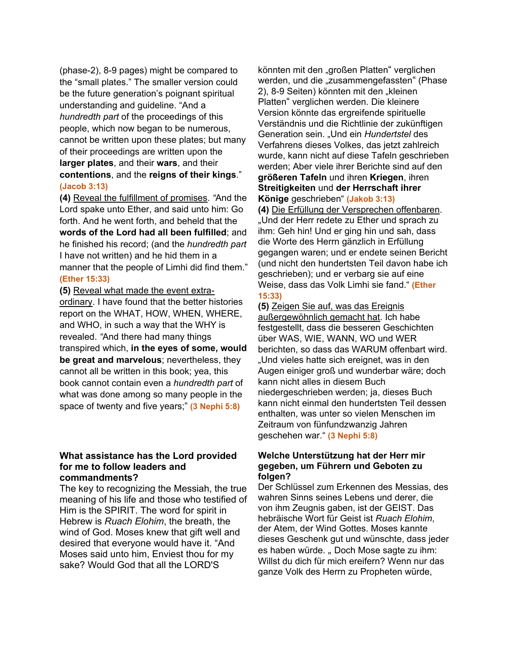(phase-2), 8-9 pages) might be compared to the "small plates." The smaller version could be the future generation's poignant spiritual understanding and guideline. "And a *hundredth part* of the proceedings of this people, which now began to be numerous, cannot be written upon these plates; but many of their proceedings are written upon the **larger plates**, and their **wars**, and their **contentions**, and the **reigns of their kings**." **[\(Jacob](https://www.lds.org/scriptures/bofm/jacob/3.13?lang=eng#12) 3:13)**

**(4)** Reveal the fulfillment of promises. *"*And the Lord spake unto Ether, and said unto him: Go forth. And he went forth, and beheld that the **words of the Lord had all been fulfilled**; and he finished his record; (and the *hundredth part* I have not written) and he hid them in a manner that the people of Limhi did find them."

#### **[\(Ether](https://www.lds.org/scriptures/bofm/ether/15.33?lang=eng#32) 15:33)**

**(5)** Reveal what made the event extraordinary. I have found that the better histories report on the WHAT, HOW, WHEN, WHERE, and WHO, in such a way that the WHY is revealed. *"*And there had many things transpired which, **in the eyes of some, would be great and marvelous**; nevertheless, they cannot all be written in this book; yea, this book cannot contain even a *hundredth part* of what was done among so many people in the space of twenty and five years;" **(3 [Nephi](https://www.lds.org/scriptures/bofm/3-ne/5.8?lang=eng#7) 5:8)**

#### **What assistance has the Lord provided for me to follow leaders and commandments?**

The key to recognizing the Messiah, the true meaning of his life and those who testified of Him is the SPIRIT. The word for spirit in Hebrew is *Ruach Elohim*, the breath, the wind of God. Moses knew that gift well and desired that everyone would have it. "And Moses said unto him, Enviest thou for my sake? Would God that all the LORD'S

könnten mit den "großen Platten" verglichen werden, und die "zusammengefassten" (Phase 2), 8-9 Seiten) könnten mit den "kleinen Platten" verglichen werden. Die kleinere Version könnte das ergreifende spirituelle Verständnis und die Richtlinie der zukünftigen Generation sein. "Und ein *Hundertstel* des Verfahrens dieses Volkes, das jetzt zahlreich wurde, kann nicht auf diese Tafeln geschrieben werden; Aber viele ihrer Berichte sind auf den **größeren Tafeln** und ihren **Kriegen**, ihren **Streitigkeiten** und **der Herrschaft ihrer Könige** geschrieben" **(Jakob 3:13)**

**(4)** Die Erfüllung der Versprechen offenbaren. "Und der Herr redete zu Ether und sprach zu ihm: Geh hin! Und er ging hin und sah, dass die Worte des Herrn gänzlich in Erfüllung gegangen waren; und er endete seinen Bericht (und nicht den hundertsten Teil davon habe ich geschrieben); und er verbarg sie auf eine Weise, dass das Volk Limhi sie fand." **(Ether 15:33)**

**(5)** Zeigen Sie auf, was das Ereignis außergewöhnlich gemacht hat. Ich habe festgestellt, dass die besseren Geschichten über WAS, WIE, WANN, WO und WER berichten, so dass das WARUM offenbart wird. "Und vieles hatte sich ereignet, was in den Augen einiger groß und wunderbar wäre; doch kann nicht alles in diesem Buch niedergeschrieben werden; ja, dieses Buch kann nicht einmal den hundertsten Teil dessen enthalten, was unter so vielen Menschen im Zeitraum von fünfundzwanzig Jahren geschehen war." **(3 Nephi 5:8)**

#### **Welche Unterstützung hat der Herr mir gegeben, um Führern und Geboten zu folgen?**

Der Schlüssel zum Erkennen des Messias, des wahren Sinns seines Lebens und derer, die von ihm Zeugnis gaben, ist der GEIST. Das hebräische Wort für Geist ist *Ruach Elohim*, der Atem, der Wind Gottes. Moses kannte dieses Geschenk gut und wünschte, dass jeder es haben würde. "Doch Mose sagte zu ihm: Willst du dich für mich ereifern? Wenn nur das ganze Volk des Herrn zu Propheten würde,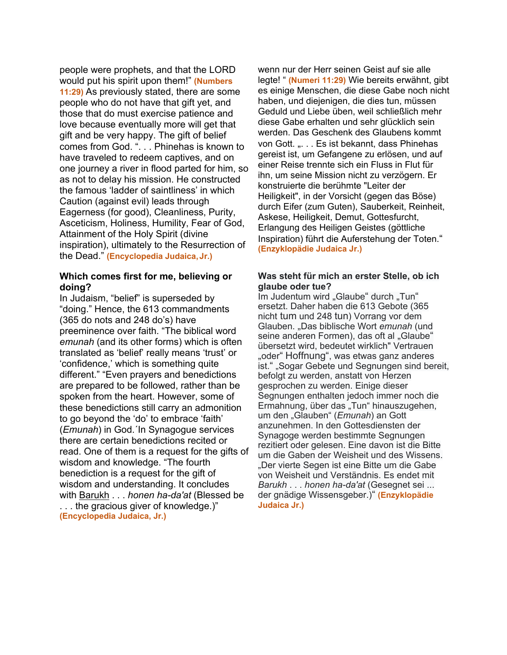people were prophets, and that the LORD would put his spirit upon them!" **(Numbers 11:29)** As previously stated, there are some people who do not have that gift yet, and those that do must exercise patience and love because eventually more will get that gift and be very happy. The gift of belief comes from God. ". . . Phinehas is known to have traveled to redeem captives, and on one journey a river in flood parted for him, so as not to delay his mission. He constructed the famous 'ladder of saintliness' in which Caution (against evil) leads through Eagerness (for good), Cleanliness, Purity, Asceticism, Holiness, Humility, Fear of God, Attainment of the Holy Spirit (divine inspiration), ultimately to the Resurrection of the Dead." **(Encyclopedia Judaica, Jr.)**

#### **Which comes first for me, believing or doing?**

In Judaism, "belief" is superseded by "doing." Hence, the 613 commandments (365 do nots and 248 do's) have preeminence over faith. "The biblical word *emunah* (and its other forms) which is often translated as 'belief' really means 'trust' or 'confidence,' which is something quite different." "Even prayers and benedictions are prepared to be followed, rather than be spoken from the heart. However, some of these benedictions still carry an admonition to go beyond the 'do' to embrace 'faith' (*Emunah*) in God.´In Synagogue services there are certain benedictions recited or read. One of them is a request for the gifts of wisdom and knowledge. "The fourth benediction is a request for the gift of wisdom and understanding. It concludes with Barukh . . . *honen ha-da'at* (Blessed be . . . the gracious giver of knowledge.)" **(Encyclopedia Judaica, Jr.)**

wenn nur der Herr seinen Geist auf sie alle legte! " **(Numeri 11:29)** Wie bereits erwähnt, gibt es einige Menschen, die diese Gabe noch nicht haben, und diejenigen, die dies tun, müssen Geduld und Liebe üben, weil schließlich mehr diese Gabe erhalten und sehr glücklich sein werden. Das Geschenk des Glaubens kommt von Gott. "... Es ist bekannt, dass Phinehas gereist ist, um Gefangene zu erlösen, und auf einer Reise trennte sich ein Fluss in Flut für ihn, um seine Mission nicht zu verzögern. Er konstruierte die berühmte "Leiter der Heiligkeit", in der Vorsicht (gegen das Böse) durch Eifer (zum Guten), Sauberkeit, Reinheit, Askese, Heiligkeit, Demut, Gottesfurcht, Erlangung des Heiligen Geistes (göttliche Inspiration) führt die Auferstehung der Toten." **(Enzyklopädie Judaica Jr.)**

#### **Was steht für mich an erster Stelle, ob ich glaube oder tue?**

Im Judentum wird "Glaube" durch "Tun" ersetzt. Daher haben die 613 Gebote (365 nicht tum und 248 tun) Vorrang vor dem Glauben. "Das biblische Wort *emunah* (und seine anderen Formen), das oft al "Glaube" übersetzt wird, bedeutet wirklich" Vertrauen "oder" Hoffnung", was etwas ganz anderes ist." "Sogar Gebete und Segnungen sind bereit, befolgt zu werden, anstatt von Herzen gesprochen zu werden. Einige dieser Segnungen enthalten jedoch immer noch die Ermahnung, über das "Tun" hinauszugehen, um den "Glauben" (*Emunah*) an Gott anzunehmen. In den Gottesdiensten der Synagoge werden bestimmte Segnungen rezitiert oder gelesen. Eine davon ist die Bitte um die Gaben der Weisheit und des Wissens. "Der vierte Segen ist eine Bitte um die Gabe von Weisheit und Verständnis. Es endet mit *Barukh* . . . *honen ha-da'at* (Gesegnet sei ... der gnädige Wissensgeber.)" **(Enzyklopädie Judaica Jr.)**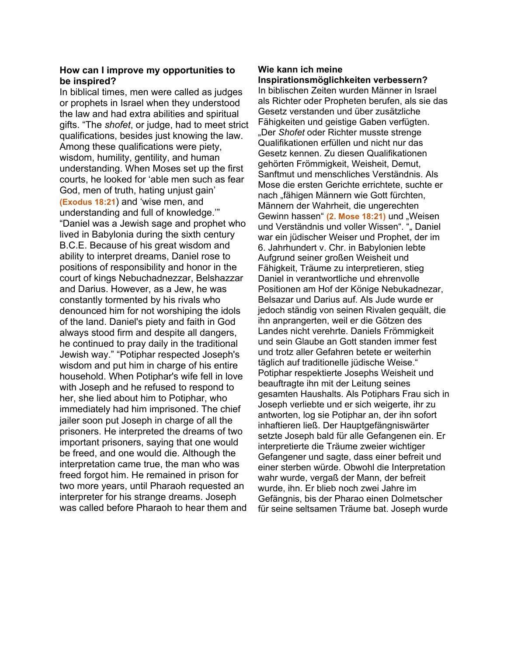### **How can I improve my opportunities to be inspired?**

In biblical times, men were called as judges or prophets in Israel when they understood the law and had extra abilities and spiritual gifts. "The *shofet*, or judge, had to meet strict qualifications, besides just knowing the law. Among these qualifications were piety, wisdom, humility, gentility, and human understanding. When Moses set up the first courts, he looked for 'able men such as fear God, men of truth, hating unjust gain' **(Exodus 18:21**) and 'wise men, and understanding and full of knowledge.'" "Daniel was a Jewish sage and prophet who lived in Babylonia during the sixth century B.C.E. Because of his great wisdom and ability to interpret dreams, Daniel rose to positions of responsibility and honor in the court of kings Nebuchadnezzar, Belshazzar and Darius. However, as a Jew, he was constantly tormented by his rivals who denounced him for not worshiping the idols of the land. Daniel's piety and faith in God always stood firm and despite all dangers, he continued to pray daily in the traditional Jewish way." "Potiphar respected Joseph's wisdom and put him in charge of his entire household. When Potiphar's wife fell in love with Joseph and he refused to respond to her, she lied about him to Potiphar, who immediately had him imprisoned. The chief jailer soon put Joseph in charge of all the prisoners. He interpreted the dreams of two important prisoners, saying that one would be freed, and one would die. Although the interpretation came true, the man who was freed forgot him. He remained in prison for two more years, until Pharaoh requested an interpreter for his strange dreams. Joseph was called before Pharaoh to hear them and

#### **Wie kann ich meine Inspirationsmöglichkeiten verbessern?**

In biblischen Zeiten wurden Männer in Israel als Richter oder Propheten berufen, als sie das Gesetz verstanden und über zusätzliche Fähigkeiten und geistige Gaben verfügten. "Der *Shofet* oder Richter musste strenge Qualifikationen erfüllen und nicht nur das Gesetz kennen. Zu diesen Qualifikationen gehörten Frömmigkeit, Weisheit, Demut, Sanftmut und menschliches Verständnis. Als Mose die ersten Gerichte errichtete, suchte er nach "fähigen Männern wie Gott fürchten, Männern der Wahrheit, die ungerechten Gewinn hassen" (2. Mose 18:21) und "Weisen und Verständnis und voller Wissen". ""Daniel war ein jüdischer Weiser und Prophet, der im 6. Jahrhundert v. Chr. in Babylonien lebte Aufgrund seiner großen Weisheit und Fähigkeit, Träume zu interpretieren, stieg Daniel in verantwortliche und ehrenvolle Positionen am Hof der Könige Nebukadnezar, Belsazar und Darius auf. Als Jude wurde er jedoch ständig von seinen Rivalen gequält, die ihn anprangerten, weil er die Götzen des Landes nicht verehrte. Daniels Frömmigkeit und sein Glaube an Gott standen immer fest und trotz aller Gefahren betete er weiterhin täglich auf traditionelle jüdische Weise." Potiphar respektierte Josephs Weisheit und beauftragte ihn mit der Leitung seines gesamten Haushalts. Als Potiphars Frau sich in Joseph verliebte und er sich weigerte, ihr zu antworten, log sie Potiphar an, der ihn sofort inhaftieren ließ. Der Hauptgefängniswärter setzte Joseph bald für alle Gefangenen ein. Er interpretierte die Träume zweier wichtiger Gefangener und sagte, dass einer befreit und einer sterben würde. Obwohl die Interpretation wahr wurde, vergaß der Mann, der befreit wurde, ihn. Er blieb noch zwei Jahre im Gefängnis, bis der Pharao einen Dolmetscher für seine seltsamen Träume bat. Joseph wurde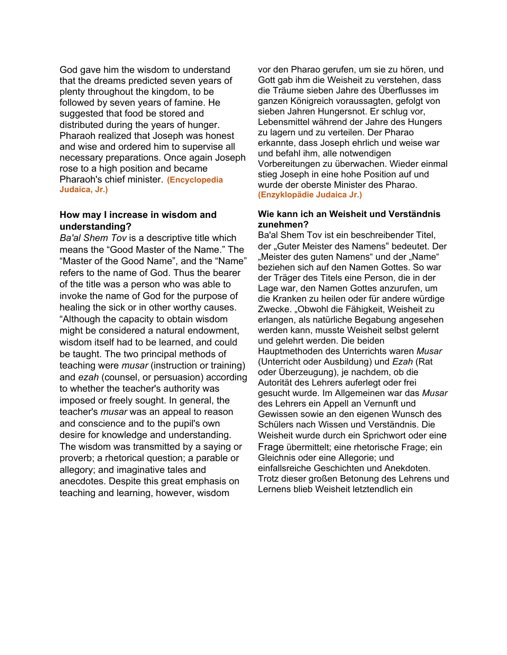God gave him the wisdom to understand that the dreams predicted seven years of plenty throughout the kingdom, to be followed by seven years of famine. He suggested that food be stored and distributed during the years of hunger. Pharaoh realized that Joseph was honest and wise and ordered him to supervise all necessary preparations. Once again Joseph rose to a high position and became Pharaoh's chief minister. **(Encyclopedia Judaica, Jr.)**

#### **How may I increase in wisdom and understanding?**

*Ba'al Shem Tov* is a descriptive title which means the "Good Master of the Name." The "Master of the Good Name", and the "Name" refers to the name of God. Thus the bearer of the title was a person who was able to invoke the name of God for the purpose of healing the sick or in other worthy causes. "Although the capacity to obtain wisdom might be considered a natural endowment, wisdom itself had to be learned, and could be taught. The two principal methods of teaching were *musar* (instruction or training) and *ezah* (counsel, or persuasion) according to whether the teacher's authority was imposed or freely sought. In general, the teacher's *musar* was an appeal to reason and conscience and to the pupil's own desire for knowledge and understanding. The wisdom was transmitted by a saying or proverb; a rhetorical question; a parable or allegory; and imaginative tales and anecdotes. Despite this great emphasis on teaching and learning, however, wisdom

vor den Pharao gerufen, um sie zu hören, und Gott gab ihm die Weisheit zu verstehen, dass die Träume sieben Jahre des Überflusses im ganzen Königreich voraussagten, gefolgt von sieben Jahren Hungersnot. Er schlug vor, Lebensmittel während der Jahre des Hungers zu lagern und zu verteilen. Der Pharao erkannte, dass Joseph ehrlich und weise war und befahl ihm, alle notwendigen Vorbereitungen zu überwachen. Wieder einmal stieg Joseph in eine hohe Position auf und wurde der oberste Minister des Pharao. **(Enzyklopädie Judaica Jr.)**

#### **Wie kann ich an Weisheit und Verständnis zunehmen?**

Ba'al Shem Tov ist ein beschreibender Titel, der "Guter Meister des Namens" bedeutet. Der "Meister des guten Namens" und der "Name" beziehen sich auf den Namen Gottes. So war der Träger des Titels eine Person, die in der Lage war, den Namen Gottes anzurufen, um die Kranken zu heilen oder für andere würdige Zwecke. "Obwohl die Fähigkeit, Weisheit zu erlangen, als natürliche Begabung angesehen werden kann, musste Weisheit selbst gelernt und gelehrt werden. Die beiden Hauptmethoden des Unterrichts waren *Musar* (Unterricht oder Ausbildung) und *Ezah* (Rat oder Überzeugung), je nachdem, ob die Autorität des Lehrers auferlegt oder frei gesucht wurde. Im Allgemeinen war das *Musar* des Lehrers ein Appell an Vernunft und Gewissen sowie an den eigenen Wunsch des Schülers nach Wissen und Verständnis. Die Weisheit wurde durch ein Sprichwort oder eine Frage übermittelt; eine rhetorische Frage; ein Gleichnis oder eine Allegorie; und einfallsreiche Geschichten und Anekdoten. Trotz dieser großen Betonung des Lehrens und Lernens blieb Weisheit letztendlich ein